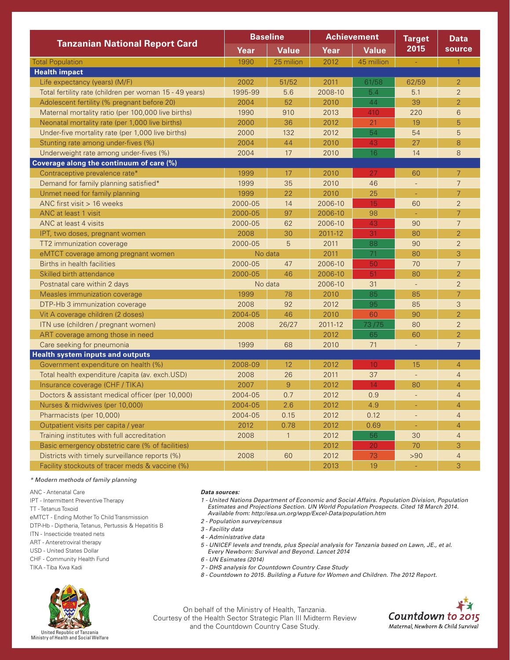| <b>Tanzanian National Report Card</b>                   | <b>Baseline</b> |                | <b>Achievement</b> |              | <b>Target</b>            | <b>Data</b>    |
|---------------------------------------------------------|-----------------|----------------|--------------------|--------------|--------------------------|----------------|
|                                                         | Year            | <b>Value</b>   | Year               | <b>Value</b> | 2015                     | source         |
| <b>Total Population</b>                                 | 1990            | 25 milion      | 2012               | 45 million   | $\sim$                   | $\mathbf{1}$   |
| <b>Health impact</b>                                    |                 |                |                    |              |                          |                |
| Life expectancy (years) (M/F)                           | 2002            | 51/52          | 2011               | 61/58        | 62/59                    | $\overline{2}$ |
| Total fertility rate (children per woman 15 - 49 years) | 1995-99         | 5.6            | 2008-10            | 5.4          | 5.1                      | $\overline{2}$ |
| Adolescent fertility (% pregnant before 20)             | 2004            | 52             | 2010               | 44           | 39                       | $\overline{2}$ |
| Maternal mortality ratio (per 100,000 live births)      | 1990            | 910            | 2013               | 410          | 220                      | 6              |
| Neonatal mortality rate (per 1,000 live births)         | 2000            | 36             | 2012               | 21           | 19                       | 5              |
| Under-five mortality rate (per 1,000 live births)       | 2000            | 132            | 2012               | 54           | 54                       | 5              |
| Stunting rate among under-fives (%)                     | 2004            | 44             | 2010               | 43           | 27                       | 8              |
| Underweight rate among under-fives (%)                  | 2004            | 17             | 2010               | 16           | 14                       | 8              |
| Coverage along the continuum of care (%)                |                 |                |                    |              |                          |                |
| Contraceptive prevalence rate*                          | 1999            | 17             | 2010               | 27           | 60                       | 7              |
| Demand for family planning satisfied*                   | 1999            | 35             | 2010               | 46           | $\overline{\phantom{a}}$ | $\overline{7}$ |
| Unmet need for family planning                          | 1999            | 22             | 2010               | 25           | ÷.                       | $\overline{7}$ |
| ANC first visit $> 16$ weeks                            | 2000-05         | 14             | 2006-10            | 15           | 60                       | $\overline{2}$ |
| ANC at least 1 visit                                    | 2000-05         | 97             | 2006-10            | 98           | $\omega$                 | $\overline{7}$ |
| ANC at least 4 visits                                   | 2000-05         | 62             | 2006-10            | 43           | 90                       | $\overline{7}$ |
| IPT, two doses, pregnant women                          | 2008            | 30             | 2011-12            | 31           | 80                       | $\overline{2}$ |
| TT2 immunization coverage                               | 2000-05         | 5              | 2011               | 88           | 90                       | $\overline{2}$ |
| eMTCT coverage among pregnant women                     | No data         |                | 2011               | 71           | 80                       | 3              |
| Births in health facilities                             | 2000-05         | 47             | 2006-10            | 50           | 70                       | $\overline{7}$ |
| Skilled birth attendance                                | 2000-05         | 46             | 2006-10            | 51           | 80                       | $\overline{2}$ |
| Postnatal care within 2 days                            | No data         |                | 2006-10            | 31           | $\overline{\phantom{a}}$ | $\overline{2}$ |
| Measles immunization coverage                           | 1999            | 78             | 2010               | 85           | 85                       | $\overline{7}$ |
| DTP-Hb 3 immunization coverage                          | 2008            | 92             | 2012               | 95           | 85                       | 3              |
| Vit A coverage children (2 doses)                       | 2004-05         | 46             | 2010               | 60           | 90                       | $\overline{2}$ |
| ITN use (children / pregnant women)                     | 2008            | 26/27          | 2011-12            | 73/75        | 80                       | $\overline{2}$ |
| ART coverage among those in need                        |                 |                | 2012               | 65           | 60                       | $\overline{2}$ |
| Care seeking for pneumonia                              | 1999            | 68             | 2010               | 71           | $\overline{\phantom{a}}$ | $\overline{7}$ |
| <b>Health system inputs and outputs</b>                 |                 |                |                    |              |                          |                |
| Government expenditure on health (%)                    | 2008-09         | 12             | 2012               | 10           | 15                       | $\overline{4}$ |
| Total health expenditure /capita (av. exch.USD)         | 2008            | 26             | 2011               | 37           | $\Box$                   | $\overline{4}$ |
| Insurance coverage (CHF / TIKA)                         | 2007            | $\overline{9}$ | 2012               | 14           | 80                       | $\overline{4}$ |
| Doctors & assistant medical officer (per 10,000)        | 2004-05         | 0.7            | 2012               | 0.9          | $\overline{\phantom{a}}$ | $\overline{4}$ |
| Nurses & midwives (per 10,000)                          | 2004-05         | 2.6            | 2012               | 4.9          | $\blacksquare$           | $\overline{4}$ |
| Pharmacists (per 10,000)                                | 2004-05         | 0.15           | 2012               | 0.12         | ÷,                       | $\overline{4}$ |
| Outpatient visits per capita / year                     | 2012            | 0.78           | 2012               | 0.69         | $\Box$                   | $\overline{4}$ |
| Training institutes with full accreditation             | 2008            | $\mathbf{1}$   | 2012               | 56           | 30                       | $\overline{4}$ |
| Basic emergency obstetric care (% of facilities)        |                 |                | 2012               | 20           | 70                       | 3              |
| Districts with timely surveillance reports (%)          | 2008            | 60             | 2012               | 73           | >90                      | $\overline{4}$ |
| Facility stockouts of tracer meds & vaccine (%)         |                 |                | 2013               | 19           |                          | 3              |

## *\* Modern methods of family planning*

- ANC Antenatal Care
- IPT Intermittent Preventive Therapy

- eMTCT Ending Mother To Child Transmission
- DTP-Hb Diptheria, Tetanus, Pertussis & Hepatitis B
- ITN Insecticide treated nets
- ART Anteretroviral therapy
- USD United States Dollar CHF - Community Health Fund
- 
- TIKA Tiba Kwa Kadi



## *Data sources:*

- *1 United Nations Department of Economic and Social Affairs. Population Division, Population Estimates and Projections Section. UN World Population Prospects. Cited 18 March 2014. Available from: http://esa.un.org/wpp/Excel-Data/population.htm*
- *2 Population survey/census*
- *3 Facility data*
- *4 Administrative data*
- *5 UNICEF levels and trends, plus Special analysis for Tanzania based on Lawn, JE., et al.*
- *Every Newborn: Survival and Beyond. Lancet 2014*
- *6 UN Esimates (2014)*
- *7 DHS analysis for Countdown Country Case Study*
- *8 Countdown to 2015. Building a Future for Women and Children. The 2012 Report.*

On behalf of the Ministry of Health, Tanzania. Courtesy of the Health Sector Strategic Plan III Midterm Review and the Countdown Country Case Study.



TT - Tetanus Toxoid